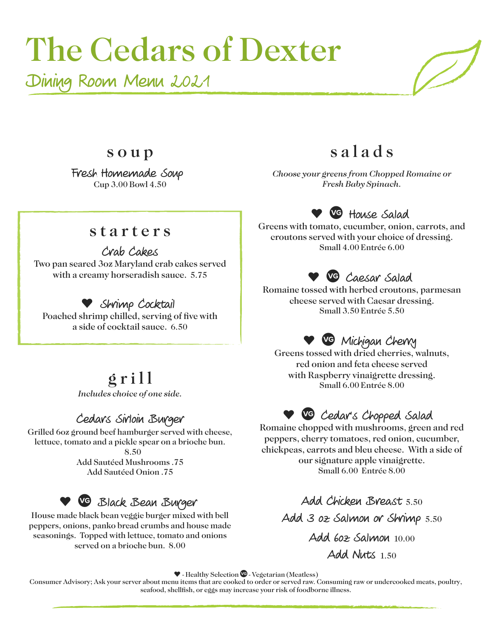# The Cedars of Dexter

Dining Room Menu 2021

s a l a d s

*Choose your greens from Chopped Romaine or Fresh Baby Spinach.*

**• <u>VG</u>** House Salad Greens with tomato, cucumber, onion, carrots, and croutons served with your choice of dressing. Small 4.00 Entrée 6.00

#### s t a r t e r s

s o u p

Fresh Homemade Soup Cup 3.00 Bowl 4.50

Crab Cakes Two pan seared 3oz Maryland crab cakes served with a creamy horseradish sauce. 5.75

#### Shrimp Cocktail

Poached shrimp chilled, serving of five with a side of cocktail sauce. 6.50

# $g$ r i l l

*Includes choice of one side.*

#### Cedars Sirloin Burger

Grilled 6oz ground beef hamburger served with cheese, lettuce, tomato and a pickle spear on a brioche bun.

> 8.50 Add Sautéed Mushrooms .75 Add Sautéed Onion .75

## **• C** Black Bean Burger

House made black bean veggie burger mixed with bell peppers, onions, panko bread crumbs and house made seasonings. Topped with lettuce, tomato and onions served on a brioche bun. 8.00

Caesar Salad Romaine tossed with herbed croutons, parmesan cheese served with Caesar dressing. Small 3.50 Entrée 5.50

## Michigan Cherry

Greens tossed with dried cherries, walnuts, red onion and feta cheese served with Raspberry vinaigrette dressing. Small 6.00 Entrée 8.00

### Cedar's Chopped Salad

Romaine chopped with mushrooms, green and red peppers, cherry tomatoes, red onion, cucumber, chickpeas, carrots and bleu cheese. With a side of our signature apple vinaigrette. Small 6.00 Entrée 8.00

> Add Chicken Breast 5.50 Add 3 oz Salmon or Shrimp 5.50 Add 6oz Salmon 10.00 Add Nuts 1.50

 $\blacktriangledown$  - Healthy Selection  $\heartsuit$  - Vegetarian (Meatless)

Consumer Advisory; Ask your server about menu items that are cooked to order or served raw. Consuming raw or undercooked meats, poultry, seafood, shellfish, or eggs may increase your risk of foodborne illness.